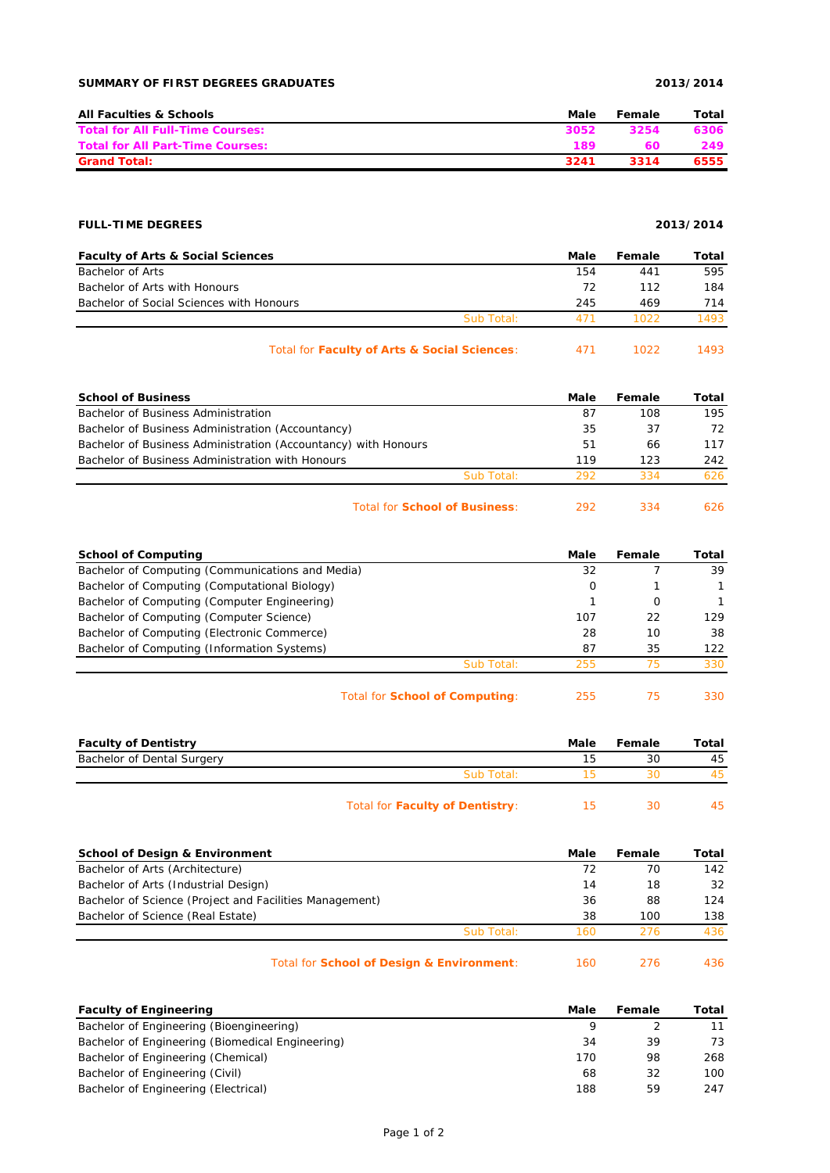## **SUMMARY OF FIRST DEGREES GRADUATES 2013/2014**

| <b>All Faculties &amp; Schools</b>      | Male | Female | Total |
|-----------------------------------------|------|--------|-------|
| <b>Total for All Full-Time Courses:</b> | 3052 | 3254   | 6306  |
| <b>Total for All Part-Time Courses:</b> | 189  | 60     | 249   |
| <b>Grand Total:</b>                     | 3241 | 3314   | 6555  |

# **FULL-TIME DEGREES 2013/2014**

| <b>Faculty of Arts &amp; Social Sciences</b> |            | Male | Female | Total |
|----------------------------------------------|------------|------|--------|-------|
| Bachelor of Arts                             |            | 154  | 441    | 595   |
| Bachelor of Arts with Honours                |            | 72   | 112    | 184   |
| Bachelor of Social Sciences with Honours     |            | 245  | 469    | 714   |
|                                              | Sub Total: | 471  | 1022   | 1493  |
|                                              |            |      |        |       |

| Total for Faculty of Arts & Social Sciences: |  | 1022 | 1493 |
|----------------------------------------------|--|------|------|
|----------------------------------------------|--|------|------|

| <b>School of Business</b>                                      |            | Male | Female | Total |
|----------------------------------------------------------------|------------|------|--------|-------|
| Bachelor of Business Administration                            |            | 87   | 108    | 195   |
| Bachelor of Business Administration (Accountancy)              |            | 35   | 37     | 72    |
| Bachelor of Business Administration (Accountancy) with Honours |            | 51   | 66     | 117   |
| Bachelor of Business Administration with Honours               |            | 119  | 123    | 242   |
|                                                                | Sub Total: | 292  | 334    | 626.  |
|                                                                |            |      |        |       |

## Total for **School of Business**: 292 334 626

| <b>School of Computing</b>                       | Male | Female | Total |
|--------------------------------------------------|------|--------|-------|
| Bachelor of Computing (Communications and Media) | 32   |        | 39    |
| Bachelor of Computing (Computational Biology)    | 0    |        |       |
| Bachelor of Computing (Computer Engineering)     |      | Ω      |       |
| Bachelor of Computing (Computer Science)         | 107  | 22     | 129   |
| Bachelor of Computing (Electronic Commerce)      | 28   | 10     | 38    |
| Bachelor of Computing (Information Systems)      | 87   | 35     | 122   |
| Sub Total:                                       | 255  | 75     | 330   |
|                                                  |      |        |       |

Total for **School of Computing**: 255 75 330

| <b>Faculty of Dentistry</b> |                                 | Male | Female | Total |
|-----------------------------|---------------------------------|------|--------|-------|
| Bachelor of Dental Surgery  |                                 | 15   | 30     | 45    |
|                             | Sub Total:                      |      | ว∩     | 45    |
|                             | Total for Faculty of Dentistry: |      | חצ     | 45    |

| <b>School of Design &amp; Environment</b>               | Male | Female | Total |
|---------------------------------------------------------|------|--------|-------|
| Bachelor of Arts (Architecture)                         | 72   | 70     | 142   |
| Bachelor of Arts (Industrial Design)                    | 14   | 18     | 32    |
| Bachelor of Science (Project and Facilities Management) | 36   | 88     | 124   |
| Bachelor of Science (Real Estate)                       | 38   | 100    | 138   |
| Sub Total:                                              | 160  | 276    | 436   |
| Total for School of Design & Environment:               | 160  | 276    | 436   |

| <b>Faculty of Engineering</b>                    | Male | Female | Total |
|--------------------------------------------------|------|--------|-------|
| Bachelor of Engineering (Bioengineering)         |      |        | 11    |
| Bachelor of Engineering (Biomedical Engineering) | 34   | 39     | 73    |
| Bachelor of Engineering (Chemical)               | 170  | 98     | 268   |
| Bachelor of Engineering (Civil)                  | 68   | 32     | 100   |
| Bachelor of Engineering (Electrical)             | 188  | 59     | 247   |